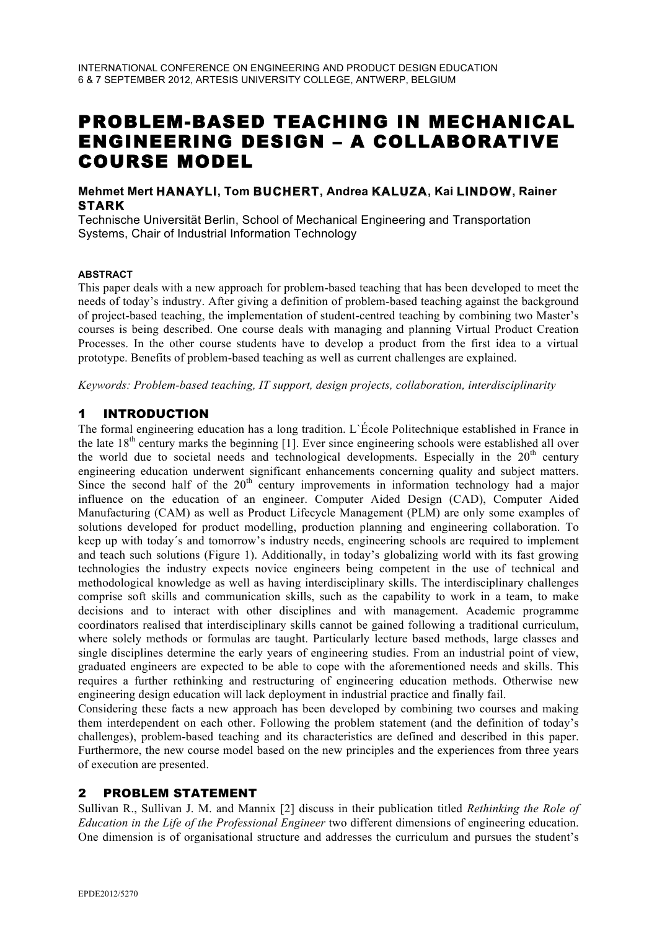# PROBLEM-BASED TEACHING IN MECHANICAL ENGINEERING DESIGN – A COLLABORATIVE COURSE MODEL

## **Mehmet Mert HANAYLI, Tom BUCHERT, Andrea KALUZA, Kai LINDOW, Rainer STARK**

Technische Universität Berlin, School of Mechanical Engineering and Transportation Systems, Chair of Industrial Information Technology

#### **ABSTRACT**

This paper deals with a new approach for problem-based teaching that has been developed to meet the needs of today's industry. After giving a definition of problem-based teaching against the background of project-based teaching, the implementation of student-centred teaching by combining two Master's courses is being described. One course deals with managing and planning Virtual Product Creation Processes. In the other course students have to develop a product from the first idea to a virtual prototype. Benefits of problem-based teaching as well as current challenges are explained.

*Keywords: Problem-based teaching, IT support, design projects, collaboration, interdisciplinarity*

## 1 INTRODUCTION

The formal engineering education has a long tradition. L`École Politechnique established in France in the late  $18<sup>th</sup>$  century marks the beginning [1]. Ever since engineering schools were established all over the world due to societal needs and technological developments. Especially in the  $20<sup>th</sup>$  century engineering education underwent significant enhancements concerning quality and subject matters. Since the second half of the  $20<sup>th</sup>$  century improvements in information technology had a major influence on the education of an engineer. Computer Aided Design (CAD), Computer Aided Manufacturing (CAM) as well as Product Lifecycle Management (PLM) are only some examples of solutions developed for product modelling, production planning and engineering collaboration. To keep up with today´s and tomorrow's industry needs, engineering schools are required to implement and teach such solutions (Figure 1). Additionally, in today's globalizing world with its fast growing technologies the industry expects novice engineers being competent in the use of technical and methodological knowledge as well as having interdisciplinary skills. The interdisciplinary challenges comprise soft skills and communication skills, such as the capability to work in a team, to make decisions and to interact with other disciplines and with management. Academic programme coordinators realised that interdisciplinary skills cannot be gained following a traditional curriculum, where solely methods or formulas are taught. Particularly lecture based methods, large classes and single disciplines determine the early years of engineering studies. From an industrial point of view, graduated engineers are expected to be able to cope with the aforementioned needs and skills. This requires a further rethinking and restructuring of engineering education methods. Otherwise new engineering design education will lack deployment in industrial practice and finally fail.

Considering these facts a new approach has been developed by combining two courses and making them interdependent on each other. Following the problem statement (and the definition of today's challenges), problem-based teaching and its characteristics are defined and described in this paper. Furthermore, the new course model based on the new principles and the experiences from three years of execution are presented.

## 2 PROBLEM STATEMENT

Sullivan R., Sullivan J. M. and Mannix [2] discuss in their publication titled *Rethinking the Role of Education in the Life of the Professional Engineer* two different dimensions of engineering education. One dimension is of organisational structure and addresses the curriculum and pursues the student's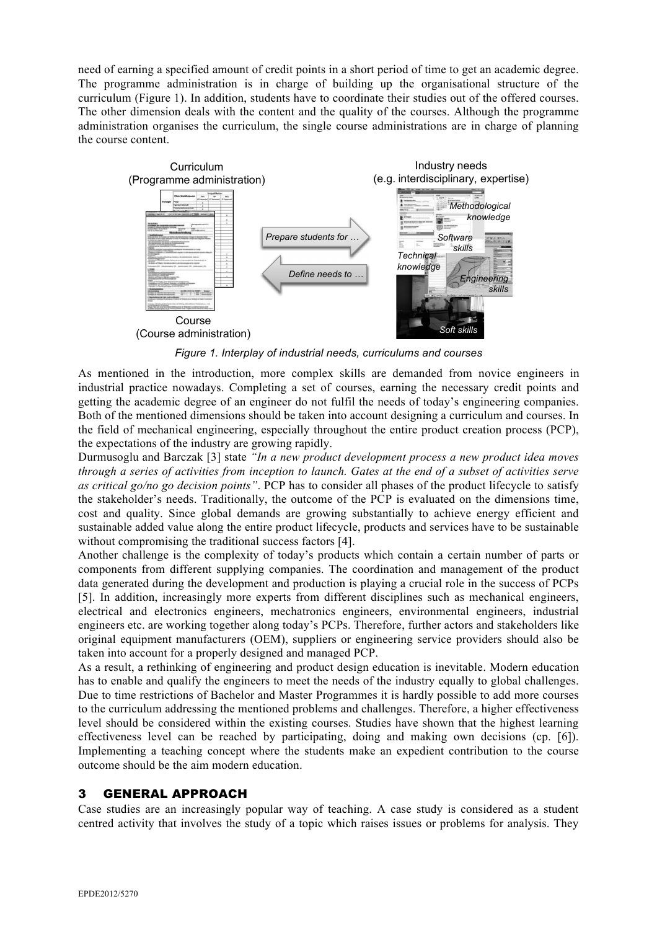need of earning a specified amount of credit points in a short period of time to get an academic degree. The programme administration is in charge of building up the organisational structure of the curriculum (Figure 1). In addition, students have to coordinate their studies out of the offered courses. The other dimension deals with the content and the quality of the courses. Although the programme administration organises the curriculum, the single course administrations are in charge of planning the course content.



*Figure 1. Interplay of industrial needs, curriculums and courses*

As mentioned in the introduction, more complex skills are demanded from novice engineers in industrial practice nowadays. Completing a set of courses, earning the necessary credit points and getting the academic degree of an engineer do not fulfil the needs of today's engineering companies. Both of the mentioned dimensions should be taken into account designing a curriculum and courses. In the field of mechanical engineering, especially throughout the entire product creation process (PCP), the expectations of the industry are growing rapidly.

Durmusoglu and Barczak [3] state *"In a new product development process a new product idea moves through a series of activities from inception to launch. Gates at the end of a subset of activities serve as critical go/no go decision points"*. PCP has to consider all phases of the product lifecycle to satisfy the stakeholder's needs. Traditionally, the outcome of the PCP is evaluated on the dimensions time, cost and quality. Since global demands are growing substantially to achieve energy efficient and sustainable added value along the entire product lifecycle, products and services have to be sustainable without compromising the traditional success factors [4].

Another challenge is the complexity of today's products which contain a certain number of parts or components from different supplying companies. The coordination and management of the product data generated during the development and production is playing a crucial role in the success of PCPs [5]. In addition, increasingly more experts from different disciplines such as mechanical engineers, electrical and electronics engineers, mechatronics engineers, environmental engineers, industrial engineers etc. are working together along today's PCPs. Therefore, further actors and stakeholders like original equipment manufacturers (OEM), suppliers or engineering service providers should also be taken into account for a properly designed and managed PCP.

As a result, a rethinking of engineering and product design education is inevitable. Modern education has to enable and qualify the engineers to meet the needs of the industry equally to global challenges. Due to time restrictions of Bachelor and Master Programmes it is hardly possible to add more courses to the curriculum addressing the mentioned problems and challenges. Therefore, a higher effectiveness level should be considered within the existing courses. Studies have shown that the highest learning effectiveness level can be reached by participating, doing and making own decisions (cp. [6]). Implementing a teaching concept where the students make an expedient contribution to the course outcome should be the aim modern education.

## 3 GENERAL APPROACH

Case studies are an increasingly popular way of teaching. A case study is considered as a student centred activity that involves the study of a topic which raises issues or problems for analysis. They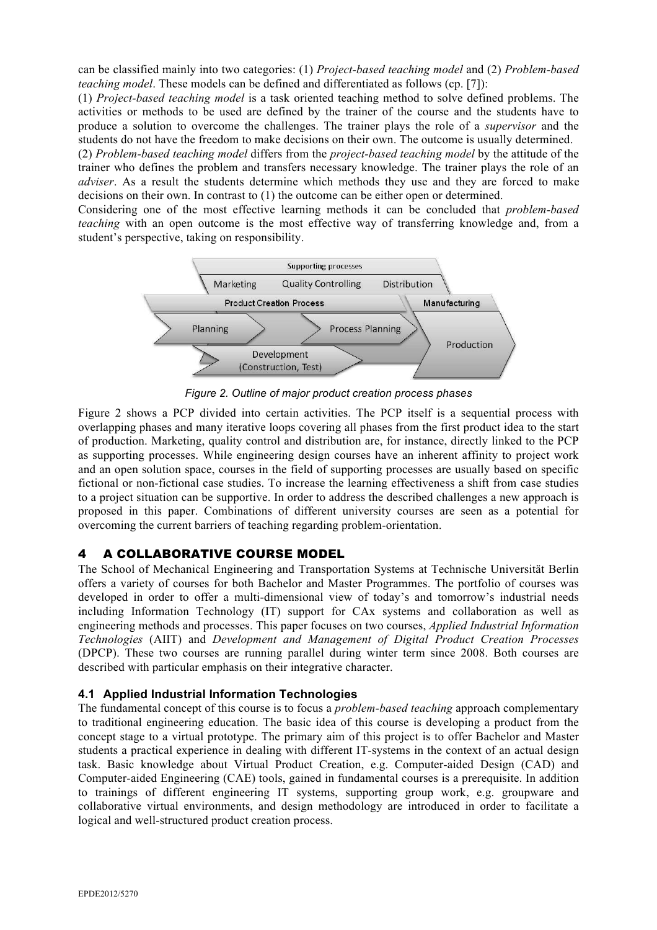can be classified mainly into two categories: (1) *Project-based teaching model* and (2) *Problem-based teaching model*. These models can be defined and differentiated as follows (cp. [7]):

(1) *Project-based teaching model* is a task oriented teaching method to solve defined problems. The activities or methods to be used are defined by the trainer of the course and the students have to produce a solution to overcome the challenges. The trainer plays the role of a *supervisor* and the students do not have the freedom to make decisions on their own. The outcome is usually determined.

(2) *Problem-based teaching model* differs from the *project-based teaching model* by the attitude of the trainer who defines the problem and transfers necessary knowledge. The trainer plays the role of an *adviser*. As a result the students determine which methods they use and they are forced to make decisions on their own. In contrast to (1) the outcome can be either open or determined.

Considering one of the most effective learning methods it can be concluded that *problem-based teaching* with an open outcome is the most effective way of transferring knowledge and, from a student's perspective, taking on responsibility.



*Figure 2. Outline of major product creation process phases*

Figure 2 shows a PCP divided into certain activities. The PCP itself is a sequential process with overlapping phases and many iterative loops covering all phases from the first product idea to the start of production. Marketing, quality control and distribution are, for instance, directly linked to the PCP as supporting processes. While engineering design courses have an inherent affinity to project work and an open solution space, courses in the field of supporting processes are usually based on specific fictional or non-fictional case studies. To increase the learning effectiveness a shift from case studies to a project situation can be supportive. In order to address the described challenges a new approach is proposed in this paper. Combinations of different university courses are seen as a potential for overcoming the current barriers of teaching regarding problem-orientation.

## 4 A COLLABORATIVE COURSE MODEL

The School of Mechanical Engineering and Transportation Systems at Technische Universität Berlin offers a variety of courses for both Bachelor and Master Programmes. The portfolio of courses was developed in order to offer a multi-dimensional view of today's and tomorrow's industrial needs including Information Technology (IT) support for CAx systems and collaboration as well as engineering methods and processes. This paper focuses on two courses, *Applied Industrial Information Technologies* (AIIT) and *Development and Management of Digital Product Creation Processes* (DPCP). These two courses are running parallel during winter term since 2008. Both courses are described with particular emphasis on their integrative character.

## **4.1 Applied Industrial Information Technologies**

The fundamental concept of this course is to focus a *problem-based teaching* approach complementary to traditional engineering education. The basic idea of this course is developing a product from the concept stage to a virtual prototype. The primary aim of this project is to offer Bachelor and Master students a practical experience in dealing with different IT-systems in the context of an actual design task. Basic knowledge about Virtual Product Creation, e.g. Computer-aided Design (CAD) and Computer-aided Engineering (CAE) tools, gained in fundamental courses is a prerequisite. In addition to trainings of different engineering IT systems, supporting group work, e.g. groupware and collaborative virtual environments, and design methodology are introduced in order to facilitate a logical and well-structured product creation process.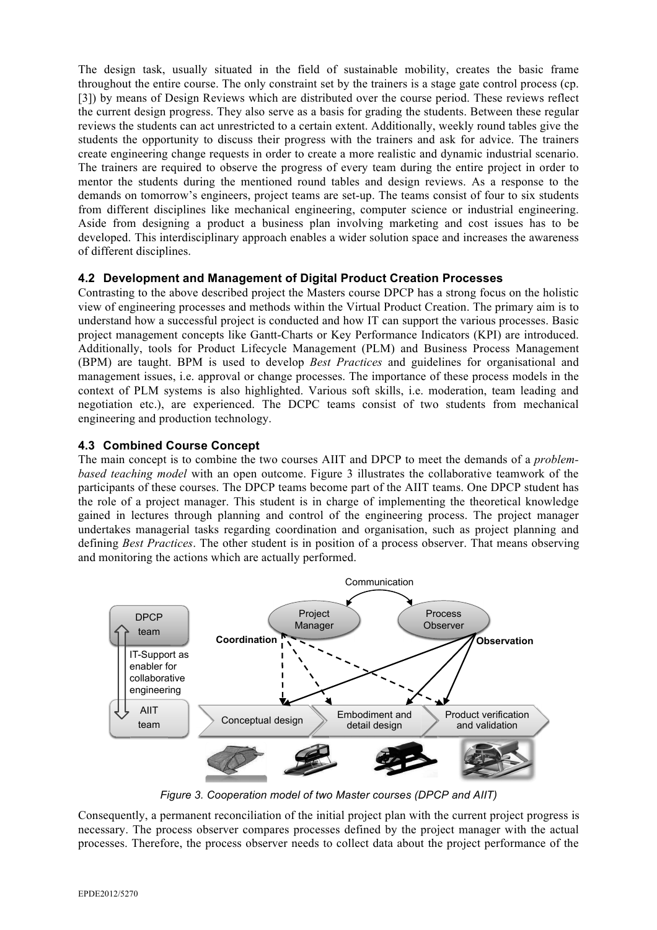The design task, usually situated in the field of sustainable mobility, creates the basic frame throughout the entire course. The only constraint set by the trainers is a stage gate control process (cp. [3]) by means of Design Reviews which are distributed over the course period. These reviews reflect the current design progress. They also serve as a basis for grading the students. Between these regular reviews the students can act unrestricted to a certain extent. Additionally, weekly round tables give the students the opportunity to discuss their progress with the trainers and ask for advice. The trainers create engineering change requests in order to create a more realistic and dynamic industrial scenario. The trainers are required to observe the progress of every team during the entire project in order to mentor the students during the mentioned round tables and design reviews. As a response to the demands on tomorrow's engineers, project teams are set-up. The teams consist of four to six students from different disciplines like mechanical engineering, computer science or industrial engineering. Aside from designing a product a business plan involving marketing and cost issues has to be developed. This interdisciplinary approach enables a wider solution space and increases the awareness of different disciplines.

## **4.2 Development and Management of Digital Product Creation Processes**

Contrasting to the above described project the Masters course DPCP has a strong focus on the holistic view of engineering processes and methods within the Virtual Product Creation. The primary aim is to understand how a successful project is conducted and how IT can support the various processes. Basic project management concepts like Gantt-Charts or Key Performance Indicators (KPI) are introduced. Additionally, tools for Product Lifecycle Management (PLM) and Business Process Management (BPM) are taught. BPM is used to develop *Best Practices* and guidelines for organisational and management issues, i.e. approval or change processes. The importance of these process models in the context of PLM systems is also highlighted. Various soft skills, i.e. moderation, team leading and negotiation etc.), are experienced. The DCPC teams consist of two students from mechanical engineering and production technology.

## **4.3 Combined Course Concept**

The main concept is to combine the two courses AIIT and DPCP to meet the demands of a *problembased teaching model* with an open outcome. Figure 3 illustrates the collaborative teamwork of the participants of these courses. The DPCP teams become part of the AIIT teams. One DPCP student has the role of a project manager. This student is in charge of implementing the theoretical knowledge gained in lectures through planning and control of the engineering process. The project manager undertakes managerial tasks regarding coordination and organisation, such as project planning and defining *Best Practices*. The other student is in position of a process observer. That means observing and monitoring the actions which are actually performed.



*Figure 3. Cooperation model of two Master courses (DPCP and AIIT)*

Consequently, a permanent reconciliation of the initial project plan with the current project progress is necessary. The process observer compares processes defined by the project manager with the actual processes. Therefore, the process observer needs to collect data about the project performance of the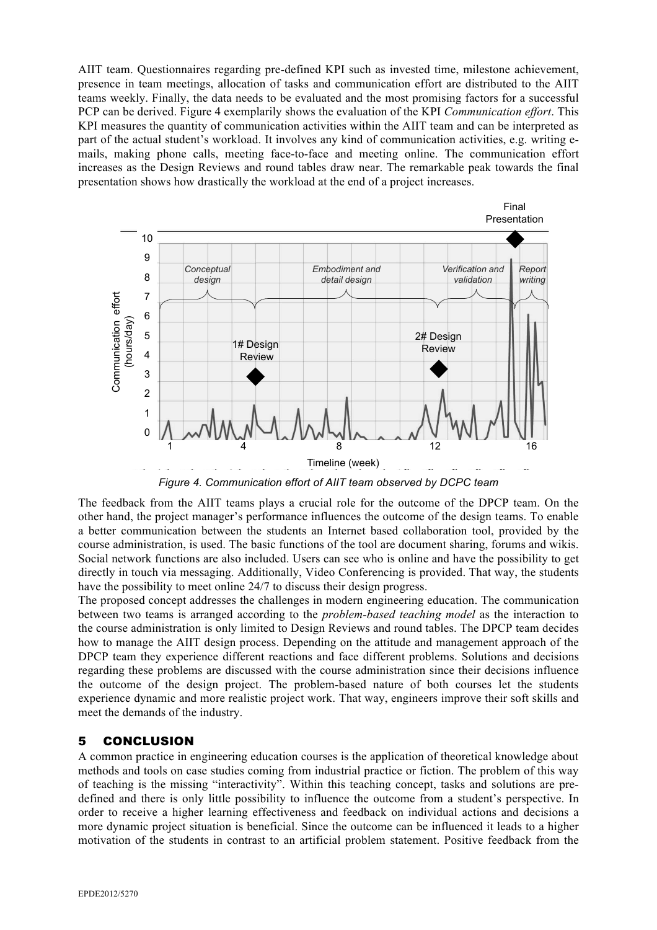AIIT team. Questionnaires regarding pre-defined KPI such as invested time, milestone achievement, presence in team meetings, allocation of tasks and communication effort are distributed to the AIIT teams weekly. Finally, the data needs to be evaluated and the most promising factors for a successful PCP can be derived. Figure 4 exemplarily shows the evaluation of the KPI *Communication effort*. This KPI measures the quantity of communication activities within the AIIT team and can be interpreted as part of the actual student's workload. It involves any kind of communication activities, e.g. writing emails, making phone calls, meeting face-to-face and meeting online. The communication effort increases as the Design Reviews and round tables draw near. The remarkable peak towards the final presentation shows how drastically the workload at the end of a project increases.



*Figure 4. Communication effort of AIIT team observed by DCPC team*

The feedback from the AIIT teams plays a crucial role for the outcome of the DPCP team. On the other hand, the project manager's performance influences the outcome of the design teams. To enable a better communication between the students an Internet based collaboration tool, provided by the course administration, is used. The basic functions of the tool are document sharing, forums and wikis. Social network functions are also included. Users can see who is online and have the possibility to get directly in touch via messaging. Additionally, Video Conferencing is provided. That way, the students have the possibility to meet online 24/7 to discuss their design progress.

The proposed concept addresses the challenges in modern engineering education. The communication between two teams is arranged according to the *problem-based teaching model* as the interaction to the course administration is only limited to Design Reviews and round tables. The DPCP team decides how to manage the AIIT design process. Depending on the attitude and management approach of the DPCP team they experience different reactions and face different problems. Solutions and decisions regarding these problems are discussed with the course administration since their decisions influence the outcome of the design project. The problem-based nature of both courses let the students experience dynamic and more realistic project work. That way, engineers improve their soft skills and meet the demands of the industry.

## 5 CONCLUSION

A common practice in engineering education courses is the application of theoretical knowledge about methods and tools on case studies coming from industrial practice or fiction. The problem of this way of teaching is the missing "interactivity". Within this teaching concept, tasks and solutions are predefined and there is only little possibility to influence the outcome from a student's perspective. In order to receive a higher learning effectiveness and feedback on individual actions and decisions a more dynamic project situation is beneficial. Since the outcome can be influenced it leads to a higher motivation of the students in contrast to an artificial problem statement. Positive feedback from the